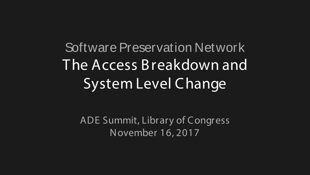Software Preservation Network The Access Breakdown and System Level C hange

ADE Summit, Library of Congress November 16, 2017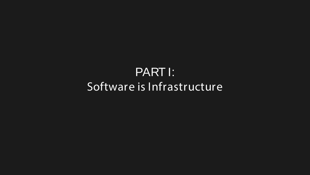#### PART I: Software is Infrastructure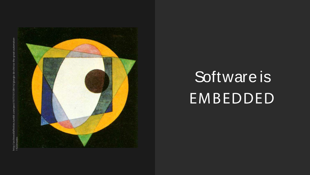

## Software is EMBEDDED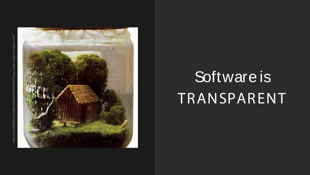

## Software is TRANSPARENT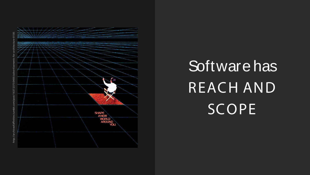

## Software has REACH AND SCOPE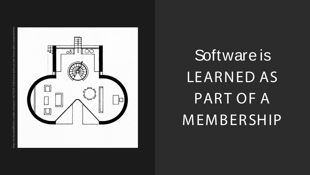

# Software is LEARNED AS PART OF A MEMBERSHIP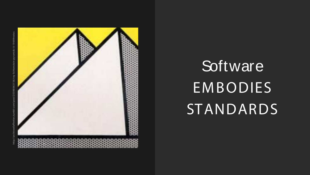

# **Software** EMBODIES STANDARDS

http://archiveofaffinities.tumblr.com/post/20598063156/roy-lichtenstein-pyramids-iii-1969#notest/20598063156/roy-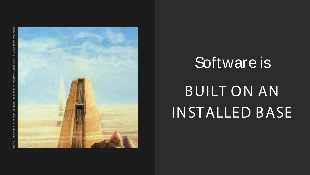

### Software is

### BUILT ON AN INSTALLED BASE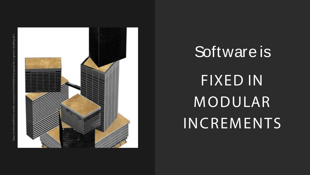

# Software is FIXED IN MODULAR INCREMENTS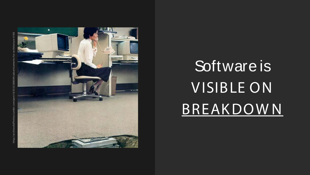

# Software is VISIBLE ON BREAKDOWN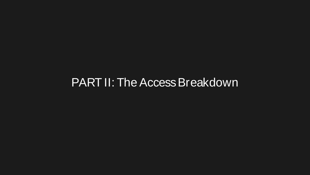#### PART II: The Access Breakdown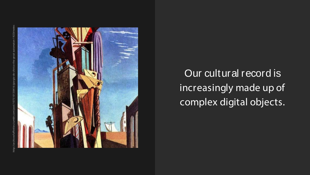

Our cultural record is increasingly made up of complex digital objects.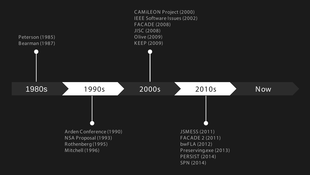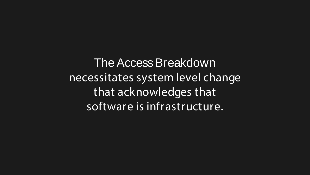The Access Breakdown necessitates system level change that acknowledges that software is infrastructure.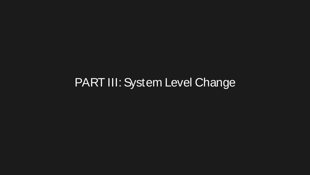#### PART III: System Level Change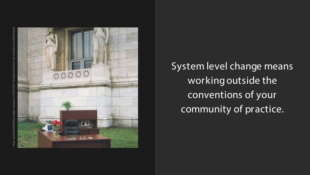

System level change means working outside the conventions of your community of practice.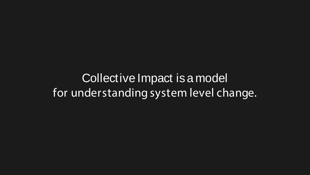Collective Impact is a model for understanding system level change.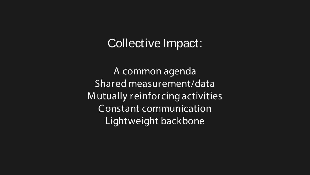#### Collective Impact:

A common agenda Shared measurement/data Mutually reinforcing activities Constant communication Lightweight backbone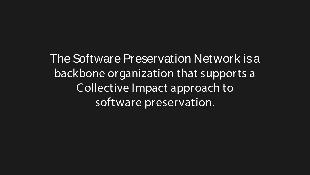The Software Preservation Network is a backbone organization that supports a C ollective Impact approach to software preservation.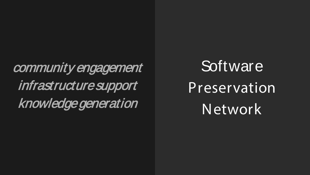community engagement infrastructure support knowledge generation

**Software** Preservation Network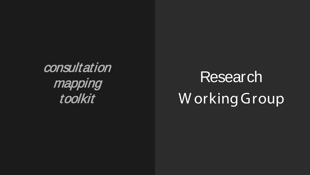consultation mapping toolkit

Research W orking Group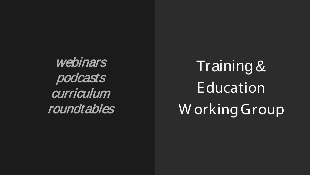webinars podcasts **curriculum** roundtables

Training & Education W orking Group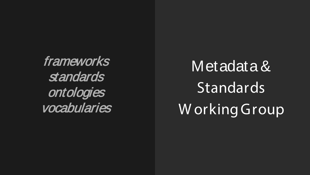frameworks standards ontologies vocabularies

Metadata & **Standards** W orking Group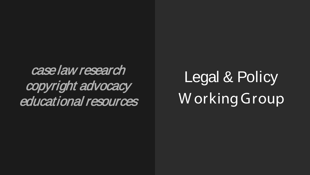case law research copyright advocacy educational resources

Legal & Policy W orking Group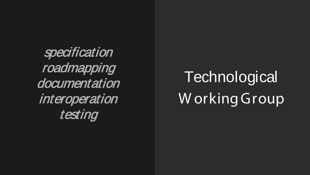specification roadmapping documentation interoperation testing

**Technological** W orking Group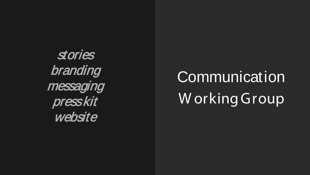stories branding messaging press kit website

## **Communication** W orking Group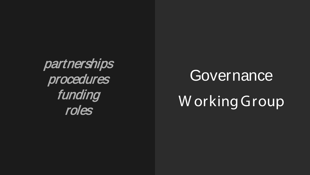partnerships procedures funding roles

#### **Governance**

### W orking Group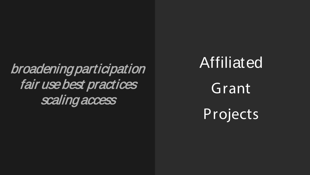### broadening participation fair use best practices scaling access

Affiliated Grant Projects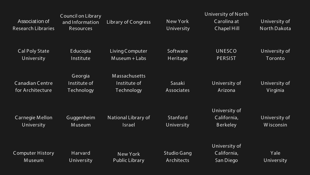|                           | Council on Library |                       |                    | University of North |                     |
|---------------------------|--------------------|-----------------------|--------------------|---------------------|---------------------|
| Association of            | and Information    | Library of Congress   | New York           | Carolina at         | University of       |
| <b>Research Libraries</b> | Resources          |                       | University         | Chapel Hill         | <b>North Dakota</b> |
|                           |                    |                       |                    |                     |                     |
| Cal Poly State            | Educopia           | Living Computer       | Software           | <b>UNESCO</b>       | University of       |
| University                | Institute          | $M$ useum + Labs      | Heritage           | <b>PERSIST</b>      | Toronto             |
|                           |                    |                       |                    |                     |                     |
|                           | Georgia            | Massachusetts         |                    |                     |                     |
| <b>Canadian Centre</b>    | Institute of       | Institute of          | Sasaki             | University of       | University of       |
| for Architecture          | Technology         | Technology            | Associates         | Arizona             | Virginia            |
|                           |                    |                       |                    |                     |                     |
|                           |                    |                       |                    | University of       |                     |
| Carnegie Mellon           | Guggenheim         | National Library of   | Stanford           | California,         | University of       |
| University                | <b>Museum</b>      | <b>Israel</b>         | University         | <b>Berkeley</b>     | Wisconsin           |
|                           |                    |                       |                    |                     |                     |
|                           |                    |                       |                    | University of       |                     |
| <b>Computer History</b>   | Harvard            | <b>New York</b>       | <b>Studio Gang</b> | California,         | Yale                |
| Museum                    | University         | <b>Public Library</b> | Architects         | San Diego           | University          |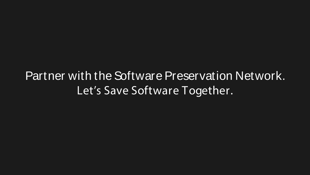Partner with the Software Preservation Network. Let's Save Software Together.